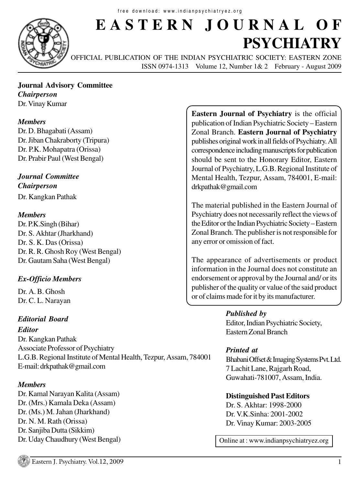

# **EASTERN JOURNAL OF PSYCHIATRY**

OFFICIAL PUBLICATION OF THE INDIAN PSYCHIATRIC SOCIETY: EASTERN ZONE ISSN 0974-1313 Volume 12, Number 1& 2 February - August 2009

#### **Journal Advisory Committee** *Chairperson* Dr. Vinay Kumar

#### *Members*

Dr. D. Bhagabati (Assam) Dr. Jiban Chakraborty (Tripura) Dr. P.K. Mohapatra (Orissa) Dr. Prabir Paul (West Bengal)

*Journal Committee Chairperson*

Dr. Kangkan Pathak

#### *Members*

Dr. P.K.Singh (Bihar) Dr. S. Akhtar (Jharkhand) Dr. S. K. Das (Orissa) Dr. R. R. Ghosh Roy (West Bengal) Dr. Gautam Saha (West Bengal)

### *Ex-Officio Members*

Dr. A. B. Ghosh Dr. C. L. Narayan

### *Editorial Board*

*Editor*

Dr. Kangkan Pathak Associate Professor of Psychiatry L.G.B. Regional Institute of Mental Health, Tezpur, Assam, 784001 E-mail: drkpathak@gmail.com

#### *Members*

Dr. Kamal Narayan Kalita (Assam) Dr. (Mrs.) Kamala Deka (Assam) Dr. (Ms.) M. Jahan (Jharkhand) Dr. N. M. Rath (Orissa) Dr. Sanjiba Dutta (Sikkim) Dr. Uday Chaudhury (West Bengal)

**Eastern Journal of Psychiatry** is the official publication of Indian Psychiatric Society – Eastern Zonal Branch. **Eastern Journal of Psychiatry** publishes original work in all fields of Psychiatry. All correspondence including manuscripts for publication should be sent to the Honorary Editor, Eastern Journal of Psychiatry, L.G.B. Regional Institute of Mental Health, Tezpur, Assam, 784001, E-mail: drkpathak@gmail.com

The material published in the Eastern Journal of Psychiatry does not necessarily reflect the views of the Editor or the Indian Psychiatric Society – Eastern Zonal Branch. The publisher is not responsible for any error or omission of fact.

The appearance of advertisements or product information in the Journal does not constitute an endorsement or approval by the Journal and/ or its publisher of the quality or value of the said product or of claims made for it by its manufacturer.

> *Published by* Editor, Indian Psychiatric Society, Eastern Zonal Branch

### *Printed at*

Bhabani Offset & Imaging Systems Pvt. Ltd. 7 Lachit Lane, Rajgarh Road, Guwahati-781007, Assam, India.

**Distinguished Past Editors** Dr. S. Akhtar: 1998-2000 Dr. V.K.Sinha: 2001-2002 Dr. Vinay Kumar: 2003-2005

Online at : www.indianpsychiatryez.org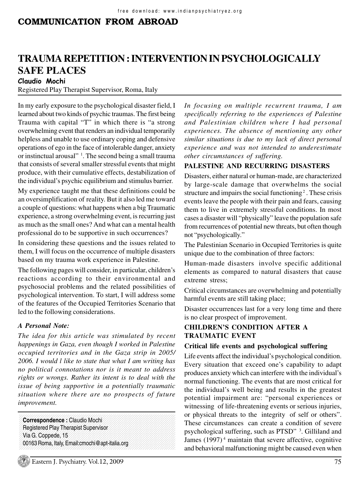# COMMUNICATION FROM ABROAD

# **TRAUMA REPETITION : INTERVENTION IN PSYCHOLOGICALLY SAFE PLACES**

Claudio Mochi

Registered Play Therapist Supervisor, Roma, Italy

In my early exposure to the psychological disaster field, I learned about two kinds of psychic traumas. The first being Trauma with capital "T" in which there is "a strong overwhelming event that renders an individual temporarily helpless and unable to use ordinary coping and defensive operations of ego in the face of intolerable danger, anxiety or instinctual arousal" <sup>1</sup>. The second being a small trauma that consists of several smaller stressful events that might produce, with their cumulative effects, destabilization of the individual's psychic equilibrium and stimulus barrier.

My experience taught me that these definitions could be an oversimplification of reality. But it also led me toward a couple of questions: what happens when a big Traumatic experience, a strong overwhelming event, is recurring just as much as the small ones? And what can a mental health professional do to be supportive in such occurrences?

In considering these questions and the issues related to them, I will focus on the occurrence of multiple disasters based on my trauma work experience in Palestine.

The following pages will consider, in particular, children's reactions according to their environmental and psychosocial problems and the related possibilities of psychological intervention. To start, I will address some of the features of the Occupied Territories Scenario that led to the following considerations.

#### *A Personal Note:*

*The idea for this article was stimulated by recent happenings in Gaza, even though I worked in Palestine occupied territories and in the Gaza strip in 2005/ 2006. I would l like to state that what I am writing has no political connotations nor is it meant to address rights or wrongs. Rather its intent is to deal with the issue of being supportive in a potentially traumatic situation where there are no prospects of future improvement.*

123456789012345678901234567890121234567890123456789012345678901212345678901

123456789012345678901234567890121234567890123456789012345678901212345678901

123456789012345678901234567890121234567890123456789012345678901212345678901 123456789012345678901234567890121234567890123456789012345678901212345678901 **Correspondence :** Claudio Mochi 123456789012345678901234567890121234567890123456789012345678901212345678901 123456789012345678901234567890121234567890123456789012345678901212345678901 123456789012345678901234567890121234567890123456789012345678901212345678901 1 1 Registered Play Therapist Supervisor Via G. Coppede, 15 123456789012345678901234567890121234567890123456789012345678901212345678901 123456789012345678901234567890121234567890123456789012345678901212345678901 1 1 00163 Roma, Italy, Email:cmochi@apt-italia.org1 1 *In focusing on multiple recurrent trauma, I am specifically referring to the experiences of Palestine and Palestinian children where I had personal experiences. The absence of mentioning any other similar situations is due to my lack of direct personal experience and was not intended to underestimate other circumstances of suffering.*

#### **PALESTINE AND RECURRING DISASTERS**

Disasters, either natural or human-made, are characterized by large-scale damage that overwhelms the social structure and impairs the social functioning<sup>2</sup>. These crisis events leave the people with their pain and fears, causing them to live in extremely stressful conditions. In most cases a disaster will "physically" leave the population safe from recurrences of potential new threats, but often though not "psychologically."

The Palestinian Scenario in Occupied Territories is quite unique due to the combination of three factors:

Human-made disasters involve specific additional elements as compared to natural disasters that cause extreme stress;

Critical circumstances are overwhelming and potentially harmful events are still taking place;

Disaster occurrences last for a very long time and there is no clear prospect of improvement.

#### **CHILDREN'S CONDITION AFTER A TRAUMATIC EVENT**

#### **Critical life events and psychological suffering**

Life events affect the individual's psychological condition. Every situation that exceed one's capability to adapt produces anxiety which can interfere with the individual's normal functioning. The events that are most critical for the individual's well being and results in the greatest potential impairment are: "personal experiences or witnessing of life-threatening events or serious injuries, or physical threats to the integrity of self or others". These circumstances can create a condition of severe psychological suffering, such as PTSD" <sup>3</sup>. Gilliland and James  $(1997)^4$  maintain that severe affective, cognitive and behavioral malfunctioning might be caused even when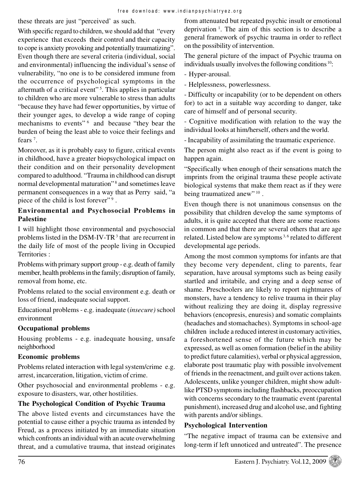these threats are just "perceived' as such.

With specific regard to children, we should add that "every" experience that exceeds their control and their capacity to cope is anxiety provoking and potentially traumatizing". Even though there are several criteria (individual, social and environmental) influencing the individual's sense of vulnerability, "no one is to be considered immune from the occurrence of psychological symptoms in the aftermath of a critical event"<sup>5</sup>. This applies in particular to children who are more vulnerable to stress than adults "because they have had fewer opportunities, by virtue of their younger ages, to develop a wide range of coping mechanisms to events"<sup>6</sup> and because "they bear the burden of being the least able to voice their feelings and fears<sup> $7$ </sup>.

Moreover, as it is probably easy to figure, critical events in childhood, have a greater biopsychological impact on their condition and on their personality development compared to adulthood. "Trauma in childhood can disrupt normal developmental maturation"<sup>8</sup> and sometimes leave permanent consequences in a way that as Perry said, "a piece of the child is lost forever"<sup>9</sup>.

#### **Environmental and Psychosocial Problems in Palestine**

I will highlight those environmental and psychosocial problems listed in the DSM-IV-TR<sup>3</sup> that are recurrent in the daily life of most of the people living in Occupied Territories :

Problems with primary support group - e.g. death of family member, health problems in the family; disruption of family, removal from home, etc.

Problems related to the social environment e.g. death or loss of friend, inadequate social support.

Educational problems - e.g. inadequate (*insecure)* school environment

#### **Occupational problems**

Housing problems - e.g. inadequate housing, unsafe neighborhood

### **Economic problems**

Problems related interaction with legal system/crime e.g. arrest, incarceration, litigation, victim of crime.

Other psychosocial and environmental problems - e.g. exposure to disasters, war, other hostilities.

#### **The Psychological Condition of Psychic Trauma**

The above listed events and circumstances have the potential to cause either a psychic trauma as intended by Freud, as a process initiated by an immediate situation which confronts an individual with an acute overwhelming threat, and a cumulative trauma, that instead originates from attenuated but repeated psychic insult or emotional deprivation<sup>1</sup>. The aim of this section is to describe a general framework of psychic trauma in order to reflect on the possibility of intervention.

The general picture of the impact of Psychic trauma on individuals usually involves the following conditions  $10$ :

- Hyper-arousal.

- Helplessness, powerlessness.

- Difficulty or incapability (or to be dependent on others for) to act in a suitable way according to danger, take care of himself and of personal security.

- Cognitive modification with relation to the way the individual looks at him/herself, others and the world.

- Incapability of assimilating the traumatic experience.

The person might also react as if the event is going to happen again.

"Specifically when enough of their sensations match the imprints from the original trauma these people activate biological systems that make them react as if they were being traumatized anew"<sup>10</sup>.

Even though there is not unanimous consensus on the possibility that children develop the same symptoms of adults, it is quite accepted that there are some reactions in common and that there are several others that are age related. Listed below are symptoms<sup>3,6</sup> related to different developmental age periods.

Among the most common symptoms for infants are that they become very dependent, cling to parents, fear separation, have arousal symptoms such as being easily startled and irritabile, and crying and a deep sense of shame. Preschoolers are likely to report nightmares of monsters, have a tendency to relive trauma in their play without realizing they are doing it, display regressive behaviors (encopresis, enuresis) and somatic complaints (headaches and stomachaches). Symptoms in school-age children include a reduced interest in customary activities, a foreshortened sense of the future which may be expressed, as well as omen formation (belief in the ability to predict future calamities), verbal or physical aggression, elaborate post traumatic play with possible involvement of friends in the reenactment, and guilt over actions taken. Adolescents, unlike younger children, might show adultlike PTSD symptoms including flashbacks, preoccupation with concerns secondary to the traumatic event (parental punishment), increased drug and alcohol use, and fighting with parents and/or siblings.

### **Psychological Intervention**

"The negative impact of trauma can be extensive and long-term if left unnoticed and untreated". The presence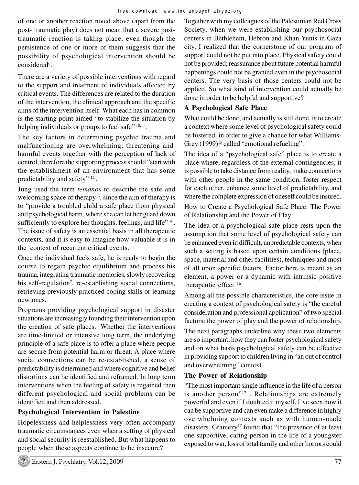of one or another reaction noted above (apart from the post- traumatic play) does not mean that a severe posttraumatic reaction is taking place, even though the persistence of one or more of them suggests that the possibility of psychological intervention should be considered<sup>6</sup>.

There are a variety of possible interventions with regard to the support and treatment of individuals affected by critical events. The differences are related to the duration of the intervention, the clinical approach and the specific aims of the intervention itself. What each has in common is the starting point aimed "to stabilize the situation by helping individuals or groups to feel safe" <sup>10, 11</sup>.

The key factors in determining psychic trauma and malfunctioning are overwhelming, threatening and harmful events together with the perception of lack of control, therefore the supporting process should "start with the establishment of an environment that has some predictability and safety"<sup>12</sup>.

Jung used the term *temanos* to describe the safe and welcoming space of therapy<sup>13</sup>, since the aim of therapy is to "provide a troubled child a safe place from physical and psychological harm, where she can let her guard down sufficiently to explore her thoughts, feelings, and life"<sup>14</sup>. The issue of safety is an essential basis in all therapeutic contexts, and it is easy to imagine how valuable it is in the context of recurrent critical events.

Once the individual feels safe, he is ready to begin the course to regain psychic equilibrium and process his trauma, integrating traumatic memories, slowly recovering his self-regulation<sup>7</sup>, re-establishing social connections, retrieving previously practiced coping skills or learning new ones.

Programs providing psychological support in disaster situations are increasingly founding their intervention upon the creation of safe places. Whether the interventions are time-limited or intensive long term, the underlying principle of a safe place is to offer a place where people are secure from potential harm or threat. A place where social connections can be re-established, a sense of predictability is determined and where cognitive and belief distortions can be identified and reframed. In long term interventions when the feeling of safety is regained then different psychological and social problems can be identified and then addressed.

# **Psychological Intervention in Palestine**

Hopelessness and helplessness very often accompany traumatic circumstances even when a setting of physical and social security is reestablished. But what happens to people when these aspects continue to be insecure?

Together with my colleagues of the Palestinian Red Cross Society, when we were establishing our psychosocial centers in Bethlehem, Hebron and Khan Yunis in Gaza city, I realized that the cornerstone of our program of support could not be put into place. Physical safety could not be provided; reassurance about future potential harmful happenings could not be granted even in the psychosocial centers. The very basis of those centers could not be applied. So what kind of intervention could actually be done in order to be helpful and supportive?

### **A Psychological Safe Place**

What could be done, and actually is still done, is to create a context where some level of psychological safety could be fostered, in order to give a chance for what Williams-Grey  $(1999)^{15}$  called "emotional refueling".

The idea of a "psychological safe" place is to create a place where, regardless of the external contingencies, it is possible to take distance from reality, make connections with other people in the same condition, foster respect for each other, enhance some level of predictability, and where the complete expression of oneself could be insured.

How to Create a Psychological Safe Place: The Power of Relationship and the Power of Play

The idea of a psychological safe place rests upon the assumption that some level of psychological safety can be enhanced even in difficult, unpredictable contexts, when such a setting is based upon certain conditions (place, space, material and other facilities), techniques and most of all upon specific factors. Factor here is meant as an element, a power or a dynamic with intrinsic positive therapeutic effect <sup>16</sup>.

Among all the possible characteristics, the core issue in creating a context of psychological safety is "the careful consideration and professional application" of two special factors: the power of play and the power of relationship.

The next paragraphs underline why these two elements are so important, how they can foster psychological safety and on what basis psychological safety can be effective in providing support to children living in "an out of control and overwhelming" context.

# **The Power of Relationship**

"The most important single influence in the life of a person is another person"<sup>17</sup>. Relationships are extremely powerful and even if I doubted it myself, I've seen how it can be supportive and can even make a difference in highly overwhelming contexts such as with human-made disasters. Gramezy<sup>17</sup> found that "the presence of at least one supportive, caring person in the life of a youngster exposed to war, loss of total family and other horrors could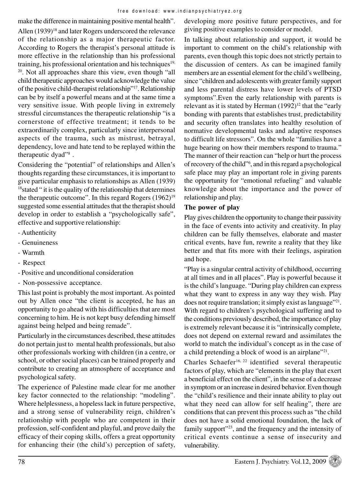make the difference in maintaining positive mental health". Allen (1939)<sup>18</sup> and later Rogers underscored the relevance of the relationship as a major therapeutic factor. According to Rogers the therapist's personal attitude is more effective in the relationship than his professional training, his professional orientation and his techniques<sup>19,</sup>  $20$ . Not all approaches share this view, even though "all child therapeutic approaches would acknowledge the value of the positive child-therapist relationship"<sup>17</sup>. Relationship can be by itself a powerful means and at the same time a very sensitive issue. With people living in extremely stressful circumstances the therapeutic relationship "is a cornerstone of effective treatment; it tends to be extraordinarily complex, particularly since interpersonal aspects of the trauma, such as mistrust, betrayal, dependency, love and hate tend to be replayed within the therapeutic dyad"<sup>8</sup>.

Considering the "potential" of relationships and Allen's thoughts regarding these circumstances, it is important to give particular emphasis to relationships as Allen (1939) <sup>18</sup>stated " it is the quality of the relationship that determines the therapeutic outcome". In this regard Rogers (1962)<sup>19</sup> suggested some essential attitudes that the therapist should develop in order to establish a "psychologically safe", effective and supportive relationship:

- Authenticity
- Genuineness
- Warmth
- Respect
- Positive and unconditional consideration
- Non-possessive acceptance.

This last point is probably the most important. As pointed out by Allen once "the client is accepted, he has an opportunity to go ahead with his difficulties that are most concerning to him. He is not kept busy defending himself against being helped and being remade".

Particularly in the circumstances described, these attitudes do not pertain just to mental health professionals, but also other professionals working with children (in a centre, or school, or other social places) can be trained properly and contribute to creating an atmosphere of acceptance and psychological safety.

The experience of Palestine made clear for me another key factor connected to the relationship: "modeling". Where helplessness, a hopeless lack in future perspective, and a strong sense of vulnerability reign, children's relationship with people who are competent in their profession, self-confident and playful, and prove daily the efficacy of their coping skills, offers a great opportunity for enhancing their (the child's) perception of safety, developing more positive future perspectives, and for giving positive examples to consider or model.

In talking about relationship and support, it would be important to comment on the child's relationship with parents, even though this topic does not strictly pertain to the discussion of centers. As can be imagined family members are an essential element for the child's wellbeing, since "children and adolescents with greater family support and less parental distress have lower levels of PTSD symptoms".Even the early relationship with parents is relevant as it is stated by Herman  $(1992)^{12}$  that the "early" bonding with parents that establishes trust, predictability and security often translates into healthy resolution of normative developmental tasks and adaptive responses to difficult life stressors". On the whole "families have a huge bearing on how their members respond to trauma." The manner of their reaction can "help or hurt the process of recovery of the child"<sup>6</sup> , and in this regard a psychological safe place may play an important role in giving parents the opportunity for "emotional refueling" and valuable knowledge about the importance and the power of relationship and play.

#### **The power of play**

Play gives children the opportunity to change their passivity in the face of events into activity and creativity. In play children can be fully themselves, elaborate and master critical events, have fun, rewrite a reality that they like better and that fits more with their feelings, aspiration and hope.

"Play is a singular central activity of childhood, occurring at all times and in all places". Play is powerful because it is the child's language. "During play children can express what they want to express in any way they wish. Play does not require translation; it simply exist as language"<sup>21</sup>. With regard to children's psychological suffering and to the conditions previously described, the importance of play is extremely relevant because it is "intrinsically complete, does not depend on external reward and assimilates the world to match the individual's concept as in the case of a child pretending a block of wood is an airplane"<sup>21</sup>.

Charles Schaefer<sup>16, 22</sup> identified several therapeutic factors of play, which are "elements in the play that exert a beneficial effect on the client", in the sense of a decrease in symptom or an increase in desired behavior. Even though the "child's resilience and their innate ability to play out what they need can allow for self healing", there are conditions that can prevent this process such as "the child does not have a solid emotional foundation, the lack of family support"<sup>23</sup>, and the frequency and the intensity of critical events continue a sense of insecurity and vulnerability.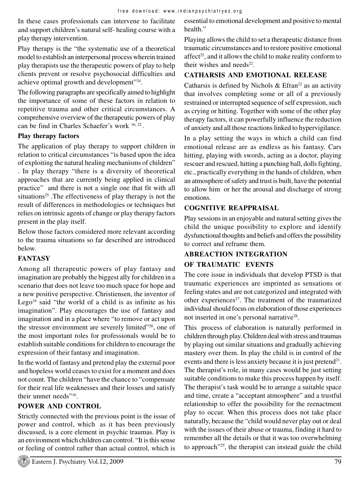In these cases professionals can intervene to facilitate and support children's natural self- healing course with a play therapy intervention.

Play therapy is the "the systematic use of a theoretical model to establish an interpersonal process wherein trained play therapists use the therapeutic powers of play to help clients prevent or resolve psychosocial difficulties and achieve optimal growth and development"<sup>24</sup>.

The following paragraphs are specifically aimed to highlight the importance of some of these factors in relation to repetitive trauma and other critical circumstances. A comprehensive overview of the therapeutic powers of play can be find in Charles Schaefer's work  $16, 22$ .

#### **Play therapy factors**

The application of play therapy to support children in relation to critical circumstances "is based upon the idea of exploiting the natural healing mechanisms of children" . In play therapy "there is a diversity of theoretical approaches that are currently being applied in clinical practice" and there is not a single one that fit with all situations<sup>25</sup>. The effectiveness of play therapy is not the result of differences in methodologies or techniques but relies on intrinsic agents of change or play therapy factors present in the play itself.

Below those factors considered more relevant according to the trauma situations so far described are introduced below.

# **FANTASY**

Among all therapeutic powers of play fantasy and imagination are probably the biggest ally for children in a scenario that does not leave too much space for hope and a new positive perspective. Christiensen, the inventor of Lego<sup>16</sup> said "the world of a child is as infinite as his imagination". Play encourages the use of fantasy and imagination and in a place where "to remove or act upon the stressor environment are severely limited"<sup>26</sup>, one of the most important roles for professionals would be to establish suitable conditions for children to encourage the expression of their fantasy and imagination.

In the world of fantasy and pretend play the external poor and hopeless world ceases to exist for a moment and does not count. The children "have the chance to "compensate for their real life weaknesses and their losses and satisfy their unmet needs"<sup>16</sup> .

# **POWER AND CONTROL**

Strictly connected with the previous point is the issue of power and control, which as it has been previously discussed, is a core element in psychic traumas. Play is an environment which children can control. "It is this sense or feeling of control rather than actual control, which is

essential to emotional development and positive to mental health."

Playing allows the child to set a therapeutic distance from traumatic circumstances and to restore positive emotional affect<sup>25</sup>, and it allows the child to make reality conform to their wishes and needs $^{22}$ .

# **CATHARSIS AND EMOTIONAL RELEASE**

Catharsis is defined by Nichols & Efran<sup>22</sup> as an activity that involves completing some or all of a previously restrained or interrupted sequence of self expression, such as crying or hitting. Together with some of the other play therapy factors, it can powerfully influence the reduction of anxiety and all those reactions linked to hypervigilance.

In a play setting the ways in which a child can find emotional release are as endless as his fantasy. Cars hitting, playing with swords, acting as a doctor, playing rescuer and rescued, hitting a punching ball, dolls fighting, etc., practically everything in the hands of children, when an atmosphere of safety and trust is built, have the potential to allow him or her the arousal and discharge of strong emotions.

# **COGNITIVE REAPPRAISAL**

Play sessions in an enjoyable and natural setting gives the child the unique possibility to explore and identify dysfunctional thoughts and beliefs and offers the possibility to correct and reframe them.

# **ABREACTION INTEGRATION**

# **OF TRAUMATIC EVENTS**

The core issue in individuals that develop PTSD is that traumatic experiences are imprinted as sensations or feeling states and are not categorized and integrated with other experiences<sup>27</sup>. The treatment of the traumatized individual should focus on elaboration of those experiences not inserted in one's personal narrative<sup>28</sup>.

This process of elaboration is naturally performed in children through play.Children deal with stress and traumas by playing out similar situations and gradually achieving mastery over them. In play the child is in control of the events and there is less anxiety because it is just pretend<sup>21</sup>. The therapist's role, in many cases would be just setting suitable conditions to make this process happen by itself. The therapist's task would be to arrange a suitable space and time, create a "acceptant atmosphere" and a trustful relationship to offer the possibility for the reenactment play to occur. When this process does not take place naturally, because the "child would never play out or deal with the issues of their abuse or trauma, finding it hard to remember all the details or that it was too overwhelming to approach"25, the therapist can instead guide the child